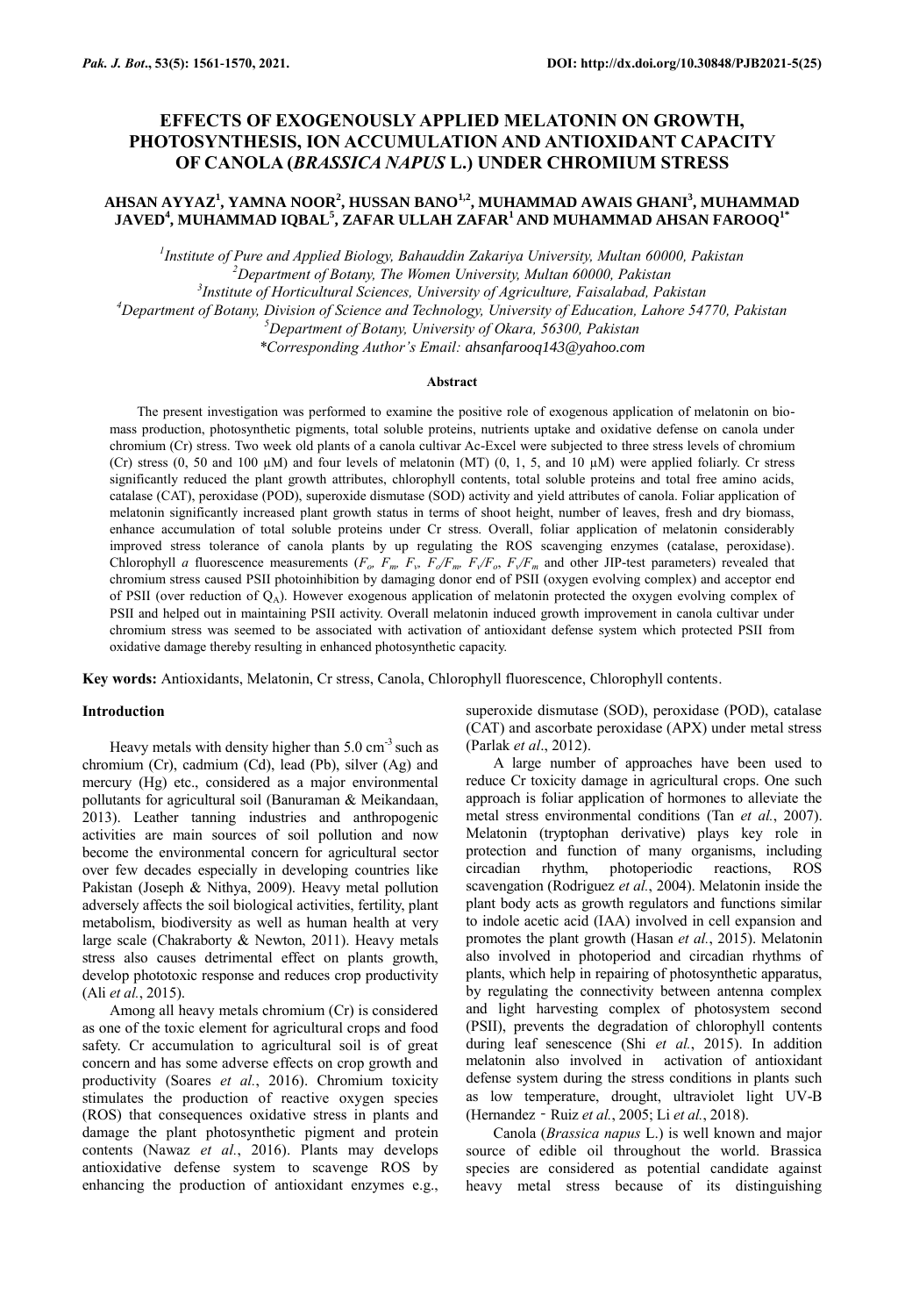# **EFFECTS OF EXOGENOUSLY APPLIED MELATONIN ON GROWTH, PHOTOSYNTHESIS, ION ACCUMULATION AND ANTIOXIDANT CAPACITY OF CANOLA (***BRASSICA NAPUS* **L.) UNDER CHROMIUM STRESS**

## **AHSAN AYYAZ<sup>1</sup> , YAMNA NOOR<sup>2</sup> , HUSSAN BANO1,2, MUHAMMAD AWAIS GHANI<sup>3</sup> , MUHAMMAD JAVED<sup>4</sup> , MUHAMMAD IQBAL<sup>5</sup> , ZAFAR ULLAH ZAFAR<sup>1</sup> AND MUHAMMAD AHSAN FAROOQ1\***

 *Institute of Pure and Applied Biology, Bahauddin Zakariya University, Multan 60000, Pakistan Department of Botany, The Women University, Multan 60000, Pakistan Institute of Horticultural Sciences, University of Agriculture, Faisalabad, Pakistan Department of Botany, Division of Science and Technology, University of Education, Lahore 54770, Pakistan Department of Botany, University of Okara, 56300, Pakistan*

*\*Corresponding Author's Email: ahsanfarooq143@yahoo.com*

### **Abstract**

The present investigation was performed to examine the positive role of exogenous application of melatonin on biomass production, photosynthetic pigments, total soluble proteins, nutrients uptake and oxidative defense on canola under chromium (Cr) stress. Two week old plants of a canola cultivar Ac-Excel were subjected to three stress levels of chromium (Cr) stress  $(0, 50$  and  $100 \mu M$ ) and four levels of melatonin (MT)  $(0, 1, 5,$  and  $10 \mu M$ ) were applied foliarly. Cr stress significantly reduced the plant growth attributes, chlorophyll contents, total soluble proteins and total free amino acids, catalase (CAT), peroxidase (POD), superoxide dismutase (SOD) activity and yield attributes of canola. Foliar application of melatonin significantly increased plant growth status in terms of shoot height, number of leaves, fresh and dry biomass, enhance accumulation of total soluble proteins under Cr stress. Overall, foliar application of melatonin considerably improved stress tolerance of canola plants by up regulating the ROS scavenging enzymes (catalase, peroxidase). Chlorophyll a fluorescence measurements  $(F_o, F_m, F_v, F_o/F_m, F_v/F_o, F_v/F_m)$  and other JIP-test parameters) revealed that chromium stress caused PSII photoinhibition by damaging donor end of PSII (oxygen evolving complex) and acceptor end of PSII (over reduction of  $Q_A$ ). However exogenous application of melatonin protected the oxygen evolving complex of PSII and helped out in maintaining PSII activity. Overall melatonin induced growth improvement in canola cultivar under chromium stress was seemed to be associated with activation of antioxidant defense system which protected PSII from oxidative damage thereby resulting in enhanced photosynthetic capacity.

**Key words:** Antioxidants, Melatonin, Cr stress, Canola, Chlorophyll fluorescence, Chlorophyll contents.

#### **Introduction**

Heavy metals with density higher than  $5.0 \text{ cm}^{-3}$  such as chromium (Cr), cadmium (Cd), lead (Pb), silver (Ag) and mercury (Hg) etc., considered as a major environmental pollutants for agricultural soil (Banuraman & Meikandaan, 2013). Leather tanning industries and anthropogenic activities are main sources of soil pollution and now become the environmental concern for agricultural sector over few decades especially in developing countries like Pakistan (Joseph & Nithya, 2009). Heavy metal pollution adversely affects the soil biological activities, fertility, plant metabolism, biodiversity as well as human health at very large scale (Chakraborty & Newton, 2011). Heavy metals stress also causes detrimental effect on plants growth, develop phototoxic response and reduces crop productivity (Ali *et al.*, 2015).

Among all heavy metals chromium (Cr) is considered as one of the toxic element for agricultural crops and food safety. Cr accumulation to agricultural soil is of great concern and has some adverse effects on crop growth and productivity (Soares *et al.*, 2016). Chromium toxicity stimulates the production of reactive oxygen species (ROS) that consequences oxidative stress in plants and damage the plant photosynthetic pigment and protein contents (Nawaz *et al.*, 2016). Plants may develops antioxidative defense system to scavenge ROS by enhancing the production of antioxidant enzymes e.g., superoxide dismutase (SOD), peroxidase (POD), catalase (CAT) and ascorbate peroxidase (APX) under metal stress (Parlak *et al*., 2012).

A large number of approaches have been used to reduce Cr toxicity damage in agricultural crops. One such approach is foliar application of hormones to alleviate the metal stress environmental conditions (Tan *et al.*, 2007). Melatonin (tryptophan derivative) plays key role in protection and function of many organisms, including circadian rhythm, photoperiodic reactions, ROS scavengation (Rodriguez *et al.*, 2004). Melatonin inside the plant body acts as growth regulators and functions similar to indole acetic acid (IAA) involved in cell expansion and promotes the plant growth (Hasan *et al.*, 2015). Melatonin also involved in photoperiod and circadian rhythms of plants, which help in repairing of photosynthetic apparatus, by regulating the connectivity between antenna complex and light harvesting complex of photosystem second (PSII), prevents the degradation of chlorophyll contents during leaf senescence (Shi *et al.*, 2015). In addition melatonin also involved in activation of antioxidant defense system during the stress conditions in plants such as low temperature, drought, ultraviolet light UV-B (Hernandez‐Ruiz *et al.*, 2005; Li *et al.*, 2018).

Canola (*Brassica napus* L.) is well known and major source of edible oil throughout the world. Brassica species are considered as potential candidate against heavy metal stress because of its distinguishing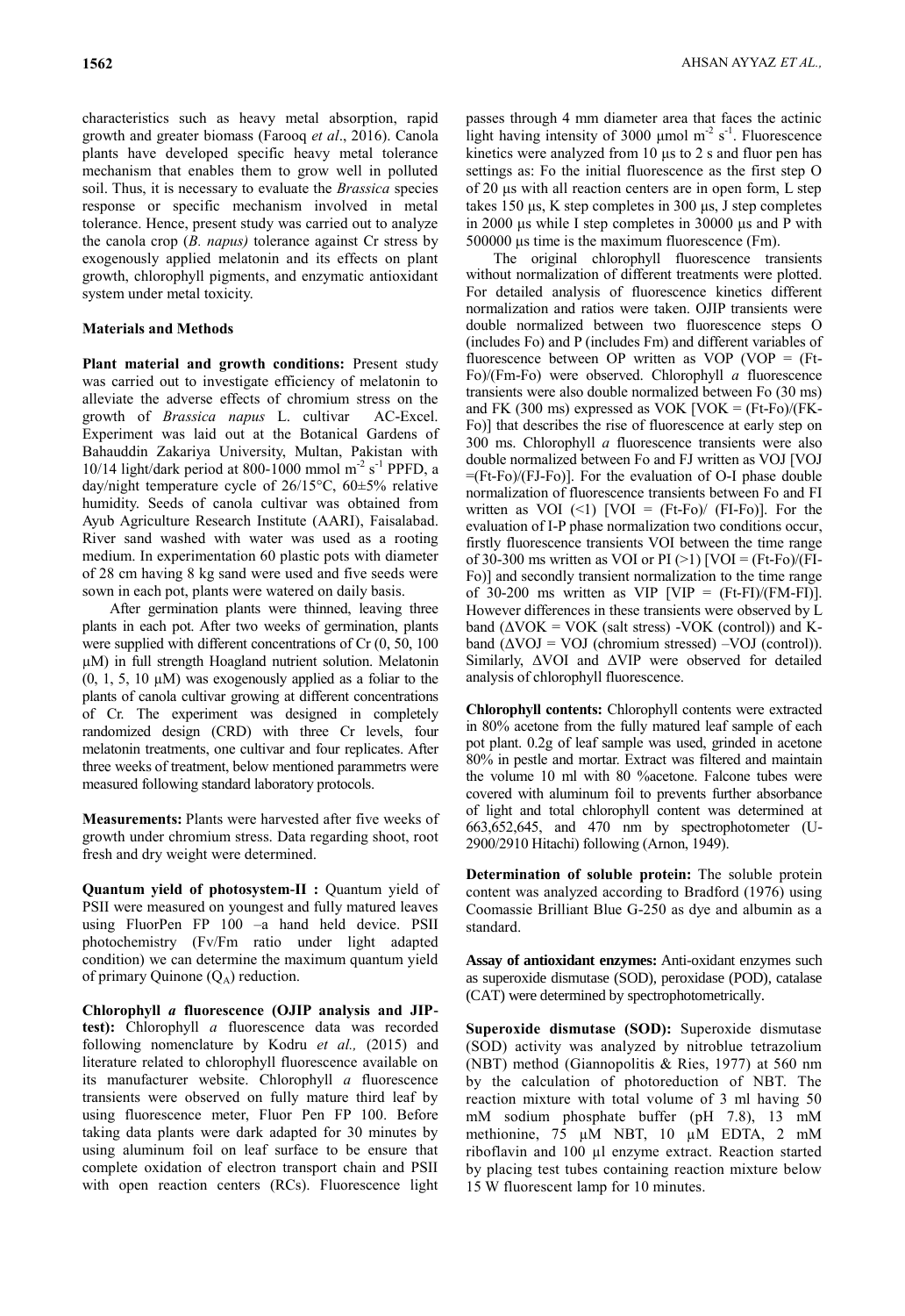characteristics such as heavy metal absorption, rapid growth and greater biomass (Farooq *et al*., 2016). Canola plants have developed specific heavy metal tolerance mechanism that enables them to grow well in polluted soil. Thus, it is necessary to evaluate the *Brassica* species response or specific mechanism involved in metal tolerance. Hence, present study was carried out to analyze the canola crop (*B. napus)* tolerance against Cr stress by exogenously applied melatonin and its effects on plant growth, chlorophyll pigments, and enzymatic antioxidant system under metal toxicity.

### **Materials and Methods**

Plant material and growth conditions: Present study was carried out to investigate efficiency of melatonin to alleviate the adverse effects of chromium stress on the growth of *Brassica napus* L. cultivar AC-Excel. Experiment was laid out at the Botanical Gardens of Bahauddin Zakariya University, Multan, Pakistan with 10/14 light/dark period at 800-1000 mmol  $m<sup>-2</sup> s<sup>-1</sup>$  PPFD, a day/night temperature cycle of 26/15°C, 60±5% relative humidity. Seeds of canola cultivar was obtained from Ayub Agriculture Research Institute (AARI), Faisalabad. River sand washed with water was used as a rooting medium. In experimentation 60 plastic pots with diameter of 28 cm having 8 kg sand were used and five seeds were sown in each pot, plants were watered on daily basis.

After germination plants were thinned, leaving three plants in each pot. After two weeks of germination, plants were supplied with different concentrations of Cr (0, 50, 100 µM) in full strength Hoagland nutrient solution. Melatonin  $(0, 1, 5, 10 \mu M)$  was exogenously applied as a foliar to the plants of canola cultivar growing at different concentrations of Cr. The experiment was designed in completely randomized design (CRD) with three Cr levels, four melatonin treatments, one cultivar and four replicates. After three weeks of treatment, below mentioned parammetrs were measured following standard laboratory protocols.

**Measurements:** Plants were harvested after five weeks of growth under chromium stress. Data regarding shoot, root fresh and dry weight were determined.

**Quantum yield of photosystem-II :** Quantum yield of PSII were measured on youngest and fully matured leaves using FluorPen FP 100 –a hand held device. PSII photochemistry (Fv/Fm ratio under light adapted condition) we can determine the maximum quantum yield of primary Quinone  $(Q_A)$  reduction.

**Chlorophyll** *a* **fluorescence (OJIP analysis and JIPtest):** Chlorophyll *a* fluorescence data was recorded following nomenclature by Kodru *et al.,* (2015) and literature related to chlorophyll fluorescence available on its manufacturer website. Chlorophyll *a* fluorescence transients were observed on fully mature third leaf by using fluorescence meter, Fluor Pen FP 100. Before taking data plants were dark adapted for 30 minutes by using aluminum foil on leaf surface to be ensure that complete oxidation of electron transport chain and PSII with open reaction centers (RCs). Fluorescence light passes through 4 mm diameter area that faces the actinic light having intensity of 3000  $\mu$ mol m<sup>-2</sup> s<sup>-1</sup>. Fluorescence kinetics were analyzed from 10 μs to 2 s and fluor pen has settings as: Fo the initial fluorescence as the first step O of 20 μs with all reaction centers are in open form, L step takes 150 μs, K step completes in 300 μs, J step completes in 2000 μs while I step completes in 30000 μs and P with 500000 μs time is the maximum fluorescence (Fm).

The original chlorophyll fluorescence transients without normalization of different treatments were plotted. For detailed analysis of fluorescence kinetics different normalization and ratios were taken. OJIP transients were double normalized between two fluorescence steps O (includes Fo) and P (includes Fm) and different variables of fluorescence between OP written as VOP (VOP  $=$  (Ft-Fo)/(Fm-Fo) were observed. Chlorophyll *a* fluorescence transients were also double normalized between Fo (30 ms) and FK (300 ms) expressed as VOK  $\text{VOK} = \text{(Ft-Fo)/(FK-}$ Fo)] that describes the rise of fluorescence at early step on 300 ms. Chlorophyll *a* fluorescence transients were also double normalized between Fo and FJ written as VOJ [VOJ =(Ft-Fo)/(FJ-Fo)]. For the evaluation of O-I phase double normalization of fluorescence transients between Fo and FI written as VOI  $(\leq 1)$  [VOI = (Ft-Fo)/ (FI-Fo)]. For the evaluation of I-P phase normalization two conditions occur, firstly fluorescence transients VOI between the time range of 30-300 ms written as VOI or PI $(>1)$  [VOI = (Ft-Fo)/(FI-Fo)] and secondly transient normalization to the time range of 30-200 ms written as VIP [VIP =  $(Ft-FI)/(FM-FI)$ ]. However differences in these transients were observed by L band  $(\Delta VOK = VOK$  (salt stress) -VOK (control)) and Kband  $(\Delta \text{VOJ} = \text{VOJ}$  (chromium stressed) – VOJ (control)). Similarly, ΔVOI and ΔVIP were observed for detailed analysis of chlorophyll fluorescence.

**Chlorophyll contents:** Chlorophyll contents were extracted in 80% acetone from the fully matured leaf sample of each pot plant. 0.2g of leaf sample was used, grinded in acetone 80% in pestle and mortar. Extract was filtered and maintain the volume 10 ml with 80 %acetone. Falcone tubes were covered with aluminum foil to prevents further absorbance of light and total chlorophyll content was determined at 663,652,645, and 470 nm by spectrophotometer (U-2900/2910 Hitachi) following (Arnon, 1949).

**Determination of soluble protein:** The soluble protein content was analyzed according to Bradford (1976) using Coomassie Brilliant Blue G-250 as dye and albumin as a standard.

**Assay of antioxidant enzymes:** Anti-oxidant enzymes such as superoxide dismutase (SOD), peroxidase (POD), catalase (CAT) were determined by spectrophotometrically.

**Superoxide dismutase (SOD):** Superoxide dismutase (SOD) activity was analyzed by nitroblue tetrazolium (NBT) method (Giannopolitis & Ries, 1977) at 560 nm by the calculation of photoreduction of NBT. The reaction mixture with total volume of 3 ml having 50 mM sodium phosphate buffer (pH 7.8), 13 mM methionine, 75 µM NBT, 10 µM EDTA, 2 mM riboflavin and 100 µl enzyme extract. Reaction started by placing test tubes containing reaction mixture below 15 W fluorescent lamp for 10 minutes.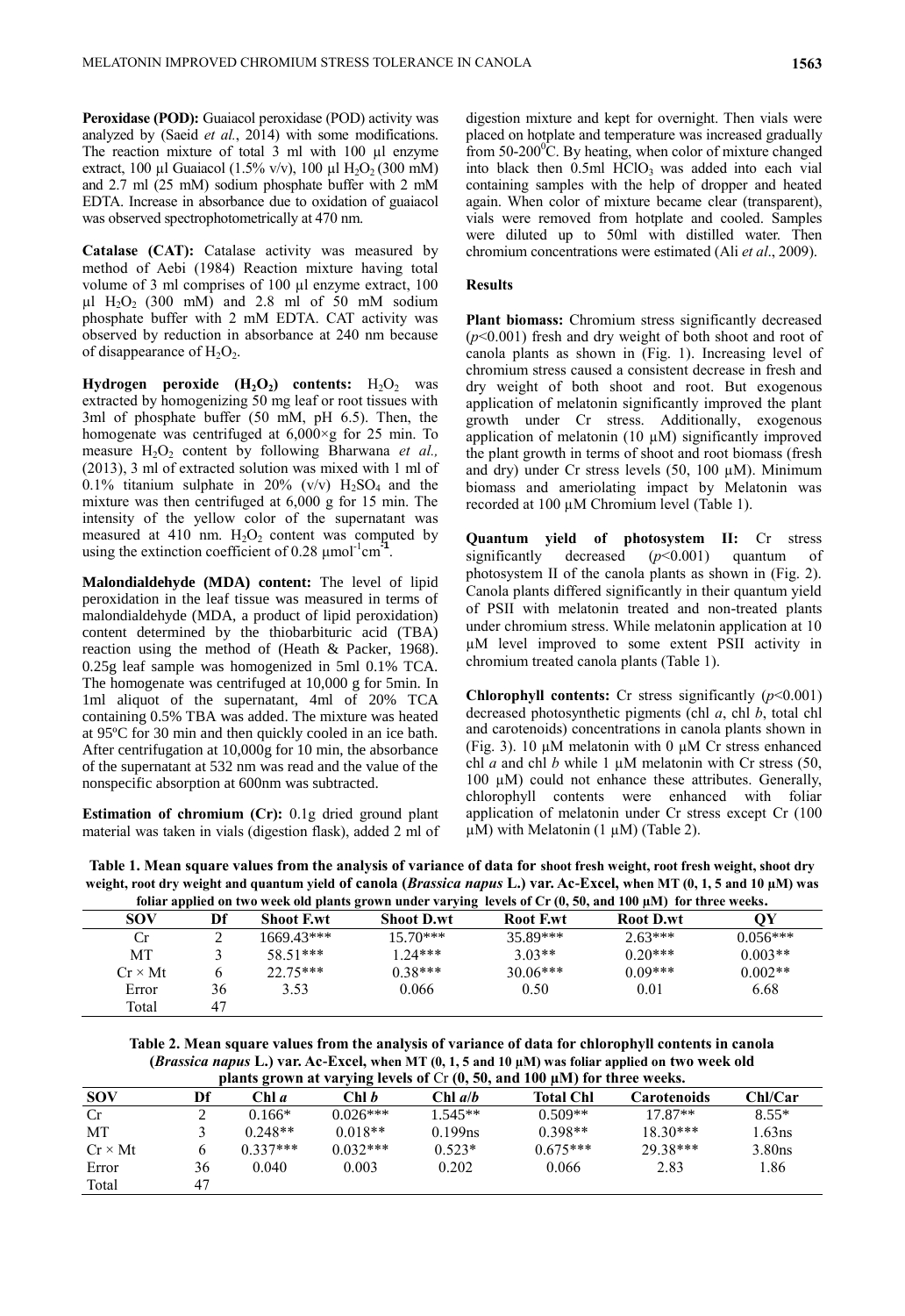**Peroxidase (POD):** Guaiacol peroxidase (POD) activity was analyzed by (Saeid *et al.*, 2014) with some modifications. The reaction mixture of total 3 ml with 100 µl enzyme extract, 100 µl Guaiacol (1.5% v/v), 100 µl  $H_2O_2$  (300 mM) and 2.7 ml (25 mM) sodium phosphate buffer with 2 mM EDTA. Increase in absorbance due to oxidation of guaiacol was observed spectrophotometrically at 470 nm.

**Catalase (CAT):** Catalase activity was measured by method of Aebi (1984) Reaction mixture having total volume of 3 ml comprises of 100 µl enzyme extract, 100  $\mu$ l H<sub>2</sub>O<sub>2</sub> (300 mM) and 2.8 ml of 50 mM sodium phosphate buffer with 2 mM EDTA. CAT activity was observed by reduction in absorbance at 240 nm because of disappearance of  $H_2O_2$ .

**Hydrogen peroxide**  $(H_2O_2)$  **contents:**  $H_2O_2$  **was** extracted by homogenizing 50 mg leaf or root tissues with 3ml of phosphate buffer (50 mM, pH 6.5). Then, the homogenate was centrifuged at  $6,000 \times g$  for 25 min. To measure H<sub>2</sub>O<sub>2</sub> content by following Bharwana *et al.*, (2013), 3 ml of extracted solution was mixed with 1 ml of 0.1% titanium sulphate in 20% (v/v)  $H_2SO_4$  and the mixture was then centrifuged at 6,000 g for 15 min. The intensity of the yellow color of the supernatant was measured at 410 nm.  $H_2O_2$  content was computed by using the extinction coefficient of  $0.28 \mu$ mol<sup>-1</sup>cm<sup>21</sup> .

**Malondialdehyde (MDA) content:** The level of lipid peroxidation in the leaf tissue was measured in terms of malondialdehyde (MDA, a product of lipid peroxidation) content determined by the thiobarbituric acid (TBA) reaction using the method of (Heath & Packer, 1968). 0.25g leaf sample was homogenized in 5ml 0.1% TCA. The homogenate was centrifuged at 10,000 g for 5min. In 1ml aliquot of the supernatant, 4ml of 20% TCA containing 0.5% TBA was added. The mixture was heated at 95ºC for 30 min and then quickly cooled in an ice bath. After centrifugation at 10,000g for 10 min, the absorbance of the supernatant at 532 nm was read and the value of the nonspecific absorption at 600nm was subtracted.

**Estimation of chromium (Cr):** 0.1g dried ground plant material was taken in vials (digestion flask), added 2 ml of

digestion mixture and kept for overnight. Then vials were placed on hotplate and temperature was increased gradually from  $50-200^{\circ}$ C. By heating, when color of mixture changed into black then  $0.5$ ml  $HCIO<sub>3</sub>$  was added into each vial containing samples with the help of dropper and heated again. When color of mixture became clear (transparent), vials were removed from hotplate and cooled. Samples were diluted up to 50ml with distilled water. Then chromium concentrations were estimated (Ali *et al*., 2009).

#### **Results**

**Plant biomass:** Chromium stress significantly decreased (*p*˂0.001) fresh and dry weight of both shoot and root of canola plants as shown in (Fig. 1). Increasing level of chromium stress caused a consistent decrease in fresh and dry weight of both shoot and root. But exogenous application of melatonin significantly improved the plant growth under Cr stress. Additionally, exogenous application of melatonin  $(10 \mu M)$  significantly improved the plant growth in terms of shoot and root biomass (fresh and dry) under Cr stress levels  $(50, 100 \mu M)$ . Minimum biomass and ameriolating impact by Melatonin was recorded at 100 µM Chromium level (Table 1).

**Quantum yield of photosystem II:** Cr stress significantly decreased (*p*˂0.001) quantum of photosystem II of the canola plants as shown in (Fig. 2). Canola plants differed significantly in their quantum yield of PSII with melatonin treated and non-treated plants under chromium stress. While melatonin application at 10 µM level improved to some extent PSII activity in chromium treated canola plants (Table 1).

**Chlorophyll contents:** Cr stress significantly (*p*˂0.001) decreased photosynthetic pigments (chl *a*, chl *b*, total chl and carotenoids) concentrations in canola plants shown in (Fig. 3). 10  $\mu$ M melatonin with 0  $\mu$ M Cr stress enhanced chl *a* and chl *b* while 1  $\mu$ M melatonin with Cr stress (50, 100  $\mu$ M) could not enhance these attributes. Generally, chlorophyll contents were enhanced with foliar application of melatonin under Cr stress except Cr (100  $\mu$ M) with Melatonin (1  $\mu$ M) (Table 2).

| Table 1. Mean square values from the analysis of variance of data for shoot fresh weight, root fresh weight, shoot dry         |
|--------------------------------------------------------------------------------------------------------------------------------|
| weight, root dry weight and quantum yield of canola ( <i>Brassica napus</i> L.) var. Ac-Excel, when MT (0, 1, 5 and 10 µM) was |
|                                                                                                                                |

|                |              |                   | foliar applied on two week old plants grown under varying levels of $Cr(0, 50, and 100 \mu M)$ for three weeks. |                 |                  |            |
|----------------|--------------|-------------------|-----------------------------------------------------------------------------------------------------------------|-----------------|------------------|------------|
| SOV            | Df           | <b>Shoot F.wt</b> | <b>Shoot D.wt</b>                                                                                               | <b>Root Ewt</b> | <b>Root D.wt</b> | ОY         |
| Сr             |              | 1669.43***        | $15.70***$                                                                                                      | 35.89***        | $2.63***$        | $0.056***$ |
| MT             |              | 58.51***          | $1.24***$                                                                                                       | $3.03**$        | $0.20***$        | $0.003**$  |
| $Cr \times Mt$ | <sub>b</sub> | $22.75***$        | $0.38***$                                                                                                       | $30.06***$      | $0.09***$        | $0.002**$  |
| Error          | 36           | 3.53              | 0.066                                                                                                           | 0.50            | 0.01             | 6.68       |
| Total          | 47           |                   |                                                                                                                 |                 |                  |            |

**Table 2. Mean square values from the analysis of variance of data for chlorophyll contents in canola**  (*Brassica napus* **L.**) var. Ac-Excel, when MT  $(0, 1, 5$  and  $10 \mu$ M) was foliar applied on **two week old**  $\mathbb{R}$  and  $\mathbb{R}$  and  $\mathbb{R}$  and  $\mathbb{R}$  and  $\mathbb{R}$  for thus such a

|                | plants grown at varying levels of $Cr(0, 50,$ and 100 $\mu$ M) for three weeks. |              |              |                |                  |             |           |
|----------------|---------------------------------------------------------------------------------|--------------|--------------|----------------|------------------|-------------|-----------|
| <b>SOV</b>     | Df                                                                              | Chl <i>a</i> | Chl <i>b</i> | Chl <i>a/b</i> | <b>Total Chl</b> | Carotenoids | Chl/Car   |
| Cr             | ∠                                                                               | $0.166*$     | $0.026***$   | $1.545**$      | $0.509**$        | $17.87**$   | $8.55*$   |
| MT             |                                                                                 | $0.248**$    | $0.018**$    | 0.199ns        | $0.398**$        | $18.30***$  | 1.63ns    |
| $Cr \times Mt$ |                                                                                 | $0.337***$   | $0.032***$   | $0.523*$       | $0.675***$       | 29.38***    | $3.80$ ns |
| Error          | 36                                                                              | 0.040        | 0.003        | 0.202          | 0.066            | 2.83        | 1.86      |
| Total          | 47                                                                              |              |              |                |                  |             |           |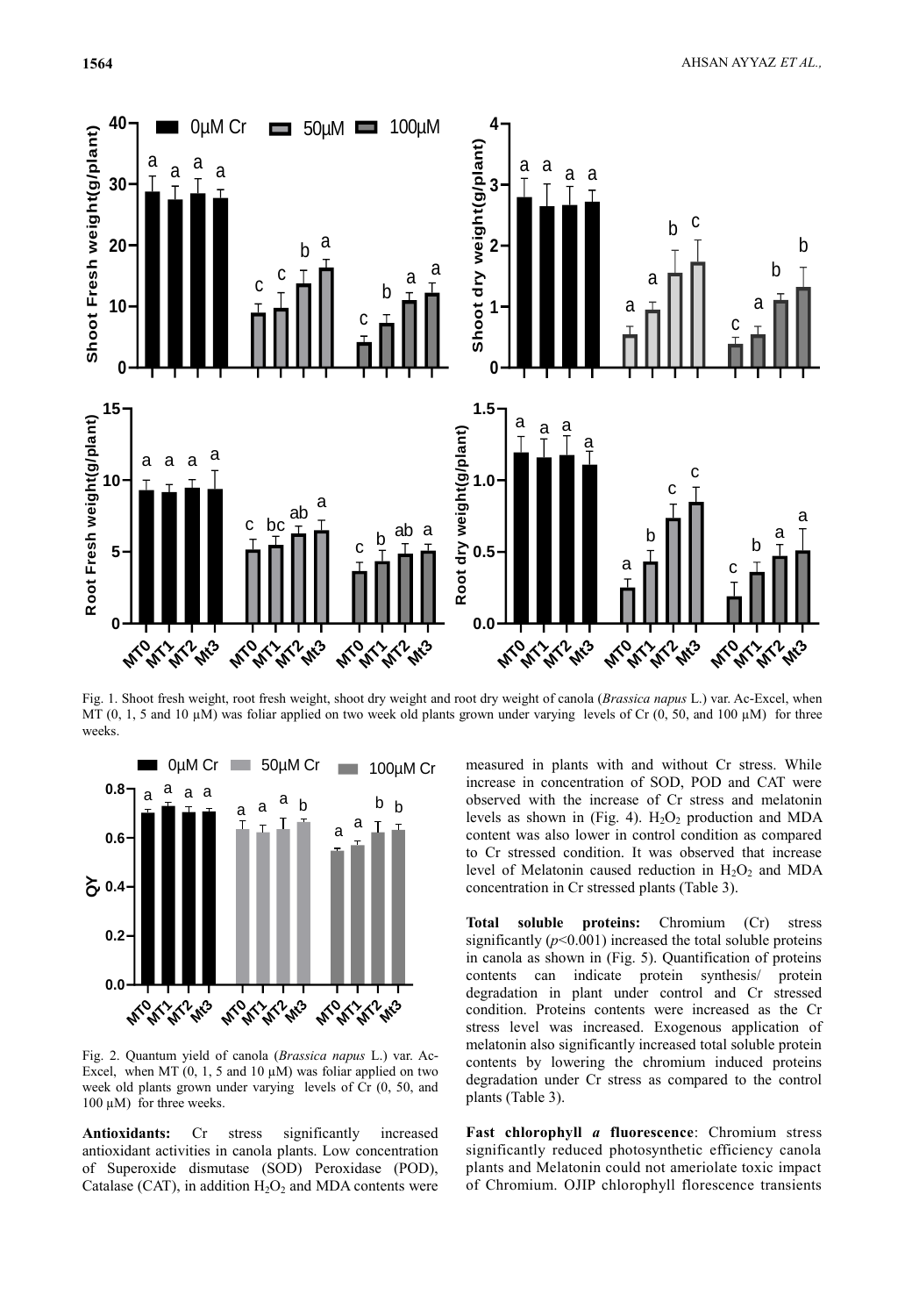

MT (0, 1, 5 and 10  $\mu$ M) was foliar applied on two week old plants grown under varying levels of Cr (0, 50, and 100  $\mu$ M) for three weeks.



Fig. 2. Quantum yield of canola (*Brassica napus* L.) var. Ac-Excel, when MT  $(0, 1, 5 \text{ and } 10 \mu\text{M})$  was foliar applied on two week old plants grown under varying levels of Cr (0, 50, and 100 µM) for three weeks.

**Antioxidants:** Cr stress significantly increased antioxidant activities in canola plants. Low concentration of Superoxide dismutase (SOD) Peroxidase (POD), Catalase (CAT), in addition  $H_2O_2$  and MDA contents were

increase in concentration of SOD, POD and CAT were observed with the increase of Cr stress and melatonin **0.0** measured in plants with and without Cr stress. While increase in concentration of SOD, POD and CAT were levels as shown in (Fig. 4).  $H_2O_2$  production and MDA content was also lower in control condition as compared to Cr stressed condition. It was observed that increase level of Melatonin caused reduction in  $H_2O_2$  and MDA concentration in Cr stressed plants (Table 3).

**Total soluble proteins:** Chromium (Cr) stress significantly  $(p<0.001)$  increased the total soluble proteins in canola as shown in (Fig. 5). Quantification of proteins contents can indicate protein synthesis/ protein degradation in plant under control and Cr stressed condition. Proteins contents were increased as the Cr stress level was increased. Exogenous application of melatonin also significantly increased total soluble protein contents by lowering the chromium induced proteins degradation under Cr stress as compared to the control plants (Table 3).

**Fast chlorophyll** *a* **fluorescence**: Chromium stress significantly reduced photosynthetic efficiency canola plants and Melatonin could not ameriolate toxic impact of Chromium. OJIP chlorophyll florescence transients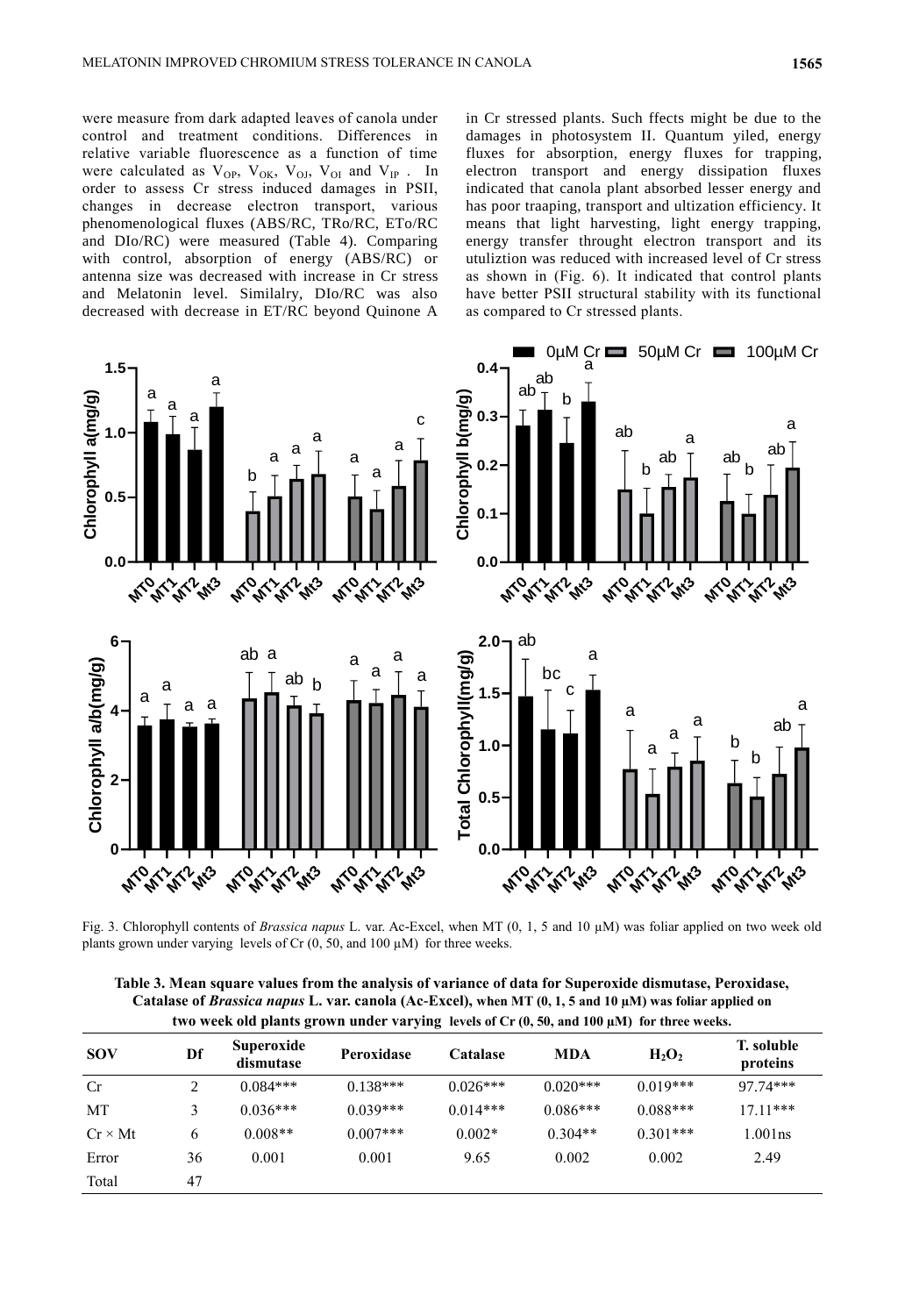were measure from dark adapted leaves of canola under control and treatment conditions. Differences in relative variable fluorescence as a function of time were calculated as  $V_{OP}$ ,  $V_{OK}$ ,  $V_{OI}$ ,  $V_{OI}$  and  $V_{IP}$ . In order to assess Cr stress induced damages in PSII, changes in decrease electron transport, various phenomenological fluxes (ABS/RC, TRo/RC, ETo/RC and DIo/RC) were measured (Table 4). Comparing with control, absorption of energy (ABS/RC) or antenna size was decreased with increase in Cr stress and Melatonin level. Similalry, DIo/RC was also decreased with decrease in ET/RC beyond Quinone A **1.5** rease in  $E1/I$ 

in Cr stressed plants. Such ffects might be due to the damages in photosystem II. Quantum yiled, energy fluxes for absorption, energy fluxes for trapping, electron transport and energy dissipation fluxes indicated that canola plant absorbed lesser energy and has poor traaping, transport and ultization efficiency. It means that light harvesting, light energy trapping, energy transfer throught electron transport and its utuliztion was reduced with increased level of Cr stress as shown in (Fig. 6). It indicated that control plants  $\frac{1}{2}$  as shown in  $(1.5, 0)$ . To marcheted that control plants as compared to Cr stressed plants. ructural stabi<br>https://wildox.htm



Fig. 3. Chlorophyll contents of *Brassica napus* L. var. Ac-Excel, when MT (0, 1, 5 and 10 µM) was foliar applied on two week old plants grown under varying levels of Cr (0, 50, and 100 µM) for three weeks.

**Table 3. Mean square values from the analysis of variance of data for Superoxide dismutase, Peroxidase, Catalase of** *Brassica napus* **L. var. canola (Ac-Excel), when MT (0, 1, 5 and 10 µM) was foliar applied on two week old plants grown under varying levels of Cr (0, 50, and 100 µM) for three weeks.**

| <b>SOV</b>     | Df | Superoxide<br>dismutase | Peroxidase | <b>Catalase</b> | MDA        | $H_2O_2$   | T. soluble<br>proteins |
|----------------|----|-------------------------|------------|-----------------|------------|------------|------------------------|
| Cr             |    | $0.084***$              | $0.138***$ | $0.026***$      | $0.020***$ | $0.019***$ | 97.74***               |
| MT             |    | $0.036***$              | $0.039***$ | $0.014***$      | $0.086***$ | $0.088***$ | $17.11***$             |
| $Cr \times Mt$ | 6  | $0.008**$               | $0.007***$ | $0.002*$        | $0.304**$  | $0.301***$ | $1.001$ ns             |
| Error          | 36 | 0.001                   | 0.001      | 9.65            | 0.002      | 0.002      | 2.49                   |
| Total          | 47 |                         |            |                 |            |            |                        |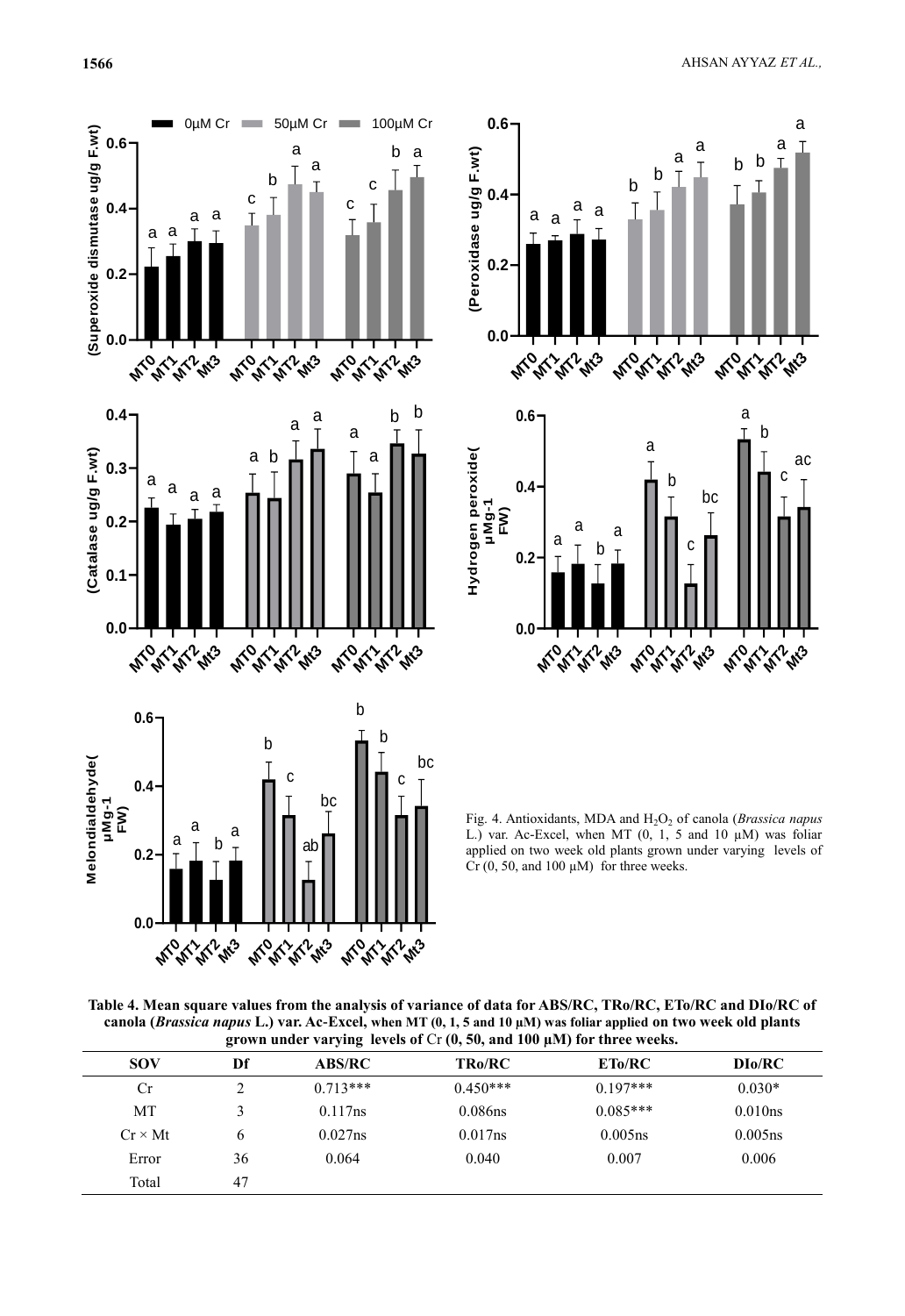



Fig. 4. Antioxidants, MDA and H<sub>2</sub>O<sub>2</sub> of canola (*Brassica napus* L.) var. Ac-Excel, when MT  $(0, 1, 5 \text{ and } 10 \mu\text{M})$  was foliar applied on two week old plants grown under varying levels of  $Cr(0, 50, and 100 \mu M)$  for three weeks.

**Table 4. Mean square values from the analysis of variance of data for ABS/RC, TRo/RC, ETo/RC and DIo/RC of Conclusion of the analysis of variance** of data for ABS/RC, TRo/RC, ETo/RC and DIo/RC of **0.0 canola (***Brassica napus* **L.) var. Ac-Excel, when MT (0, 1, 5 and 10 µM) was foliar applied on two week old plants grown under varying levels of** Cr **(0, 50, and 100 µM) for three weeks.**

|                | o  | $\overline{\phantom{a}}$ |               |            |            |
|----------------|----|--------------------------|---------------|------------|------------|
| <b>SOV</b>     | Df | <b>ABS/RC</b>            | <b>TRo/RC</b> | ETo/RC     | DIo/RC     |
| Cr             |    | $0.713***$               | $0.450***$    | $0.197***$ | $0.030*$   |
| МT             |    | 0.117ns                  | $0.086$ ns    | $0.085***$ | 0.010ns    |
| $Cr \times Mt$ | 6  | $0.027$ ns               | $0.017$ ns    | $0.005$ ns | $0.005$ ns |
| Error          | 36 | 0.064                    | 0.040         | 0.007      | 0.006      |
| Total          | 47 |                          |               |            |            |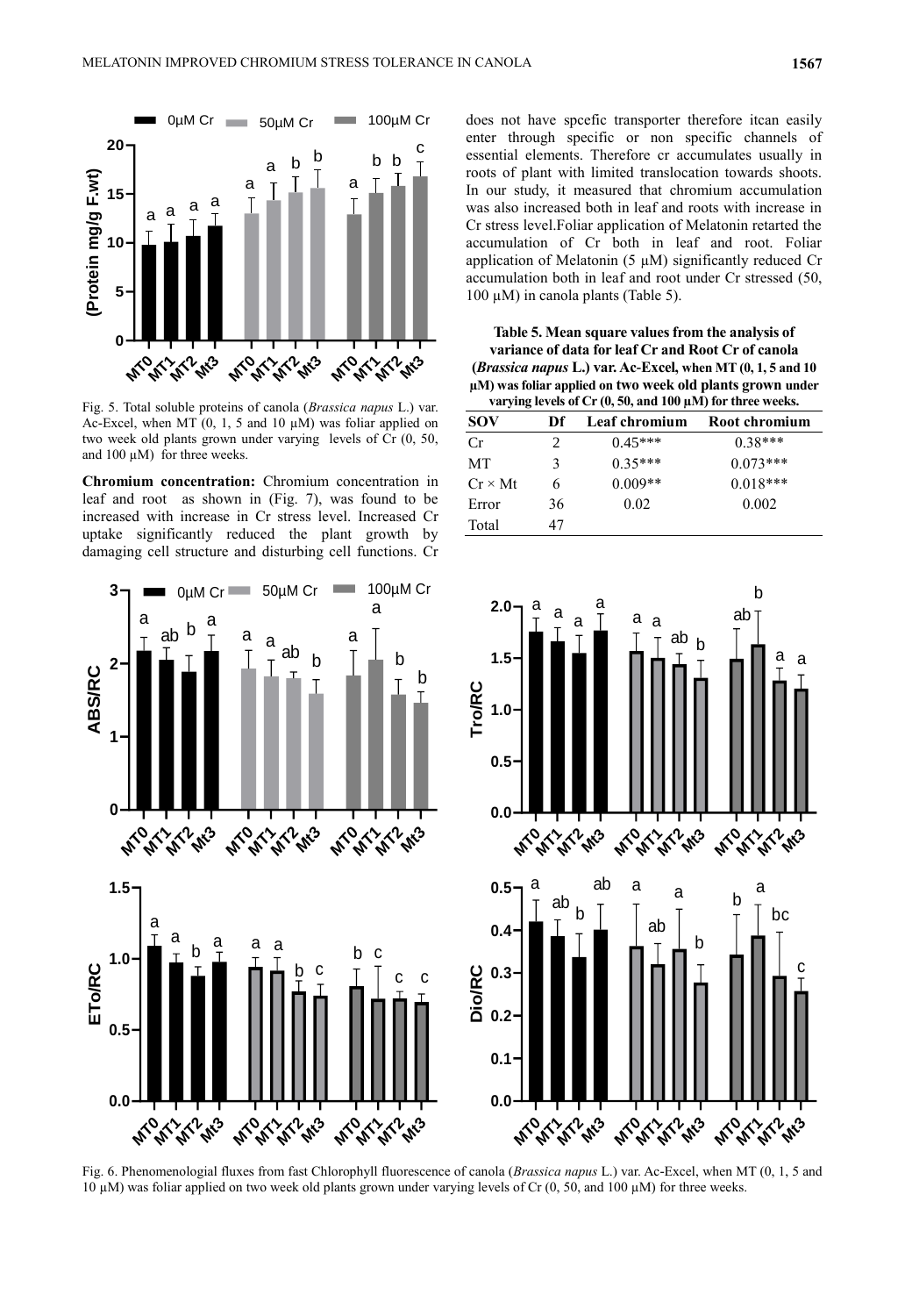

Fig. 5. Total soluble proteins of canola (*Brassica napus* L.) var. Ac-Excel, when MT  $(0, 1, 5 \text{ and } 10 \mu\text{M})$  was foliar applied on two week old plants grown under varying levels of Cr (0, 50, and  $100 \mu M$ ) for three weeks.

**Chromium concentration:** Chromium concentration in leaf and root as shown in (Fig. 7), was found to be increased with increase in Cr stress level. Increased Cr uptake significantly reduced the plant growth by damaging cell structure and disturbing cell functions. Cr



c<br>
essential elements. Therefore cr accumulates usually in does not have spcefic transporter therefore itcan easily enter through specific or non specific channels of roots of plant with limited translocation towards shoots. In our study, it measured that chromium accumulation was also increased both in leaf and roots with increase in Cr stress level.Foliar application of Melatonin retarted the accumulation of Cr both in leaf and root. Foliar application of Melatonin (5  $\mu$ M) significantly reduced Cr accumulation both in leaf and root under Cr stressed (50, 100  $\mu$ M) in canola plants (Table 5).

**Table 5. Mean square values from the analysis of variance of data for leaf Cr and Root Cr of canola (***Brassica napus* **L.) var. Ac-Excel, when MT (0, 1, 5 and 10 µM) was foliar applied on two week old plants grown under varying levels of Cr (0, 50, and 100 µM) for three weeks.**

| Df | Leaf chromium | Root chromium |
|----|---------------|---------------|
| 2  | $0.45***$     | $0.38***$     |
| 3  | $0.35***$     | $0.073***$    |
| 6  | $0.009**$     | $0.018***$    |
| 36 | 0.02          | 0.002         |
| 47 |               |               |
|    |               |               |



Tig. 6. Filehomehologial huxes from fast Chlorophyfi huotescence of canola (*Brussica hapus L.*) val. Ac-Excel, when MT (0, 1, 3 and 10 µM) was foliar applied on two week old plants grown under varying levels of Cr (0, 50 Fig. 6. Phenomenologial fluxes from fast Chlorophyll fluorescence of canola (Brassica napus L.) var. Ac-Excel, when MT (0, 1, 5 and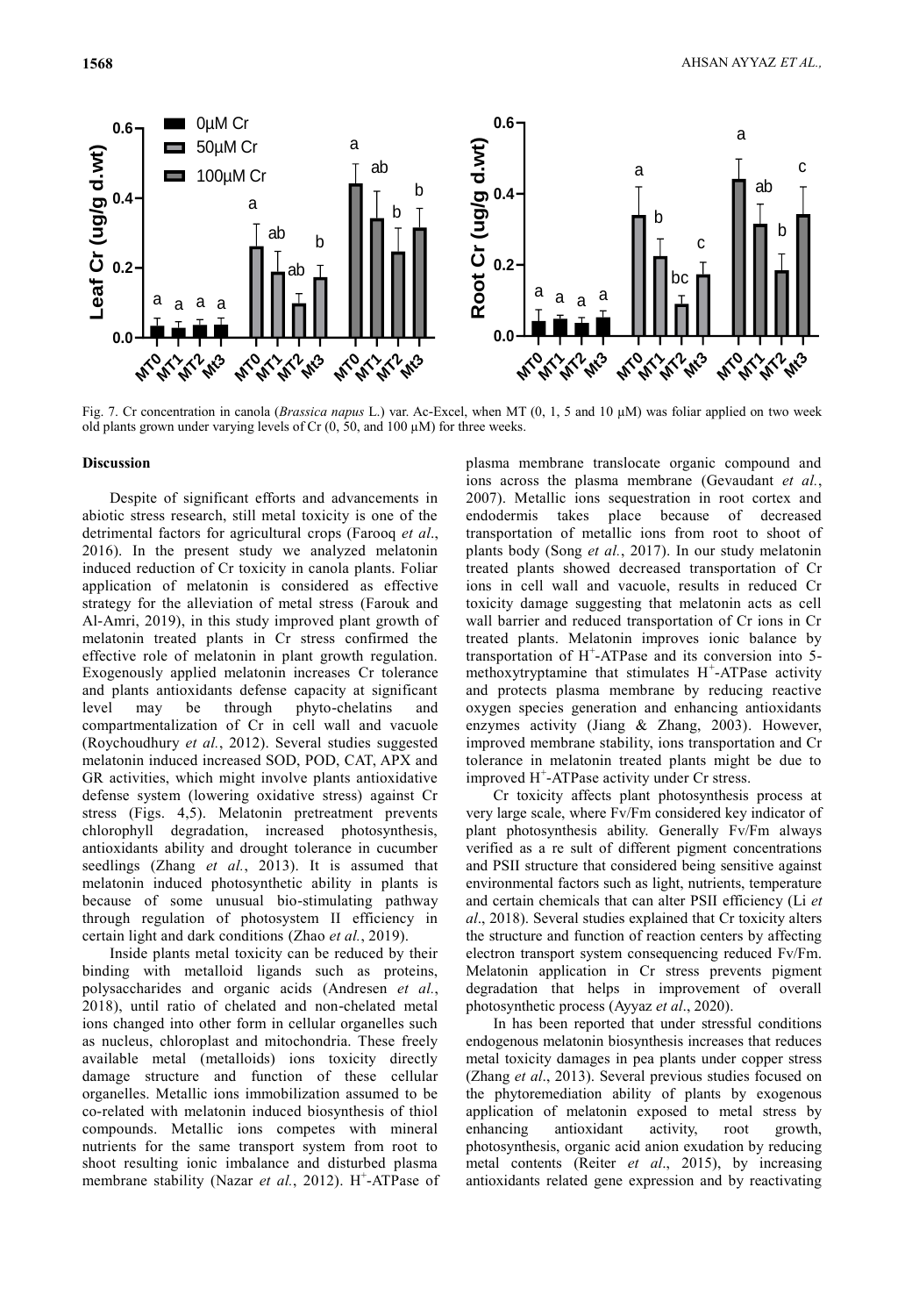

Fig. 7. Cr concentration in canola (*Brassica napus* L.) var. Ac-Excel, when MT (0, 1, 5 and 10 µM) was foliar applied on two week old plants grown under varying levels of Cr (0, 50, and 100 µM) for three weeks.

#### **Discussion**

(Roychoudhury *et al.*, 2012). Several studies suggested imprometrion induced increased SOD POD CAT APX and toleral **0.0** compartmentalization of Cr in cell wall and vacuole effective role of melatonin in plant growth regulation. application of melatonin is considered as effective abiotic stress research, still metal toxicity is one of the for the present study value of the present study valued reduction of Cr toxicity<br>plication of melatonin is categy for the alleviation of m<br>-Amri, 2019), in this study in<br>elatonin treated plants in C<br>fective role of melaton a Exogenously applied melatonin increases Cr tolerance a 2016). In the present study we analyzed melatonin strategy for the alleviation of metal stress (Farouk and Al-Amri, 2019), in this study improved plant growth of wal induced reduction of Cr toxicity in canola plants. Foliar to Despite of significant efforts and advancements in detrimental factors for agricultural crops (Farooq *et al*., melatonin treated plants in Cr stress confirmed the and plants antioxidants defense capacity at significant level may be through phyto-chelatins and melatonin induced increased SOD, POD, CAT, APX and GR activities, which might involve plants antioxidative defense system (lowering oxidative stress) against Cr stress (Figs. 4,5). Melatonin pretreatment prevents chlorophyll degradation, increased photosynthesis, antioxidants ability and drought tolerance in cucumber seedlings (Zhang *et al.*, 2013). It is assumed that melatonin induced photosynthetic ability in plants is because of some unusual bio-stimulating pathway through regulation of photosystem II efficiency in certain light and dark conditions (Zhao *et al.*, 2019).

Inside plants metal toxicity can be reduced by their binding with metalloid ligands such as proteins, polysaccharides and organic acids (Andresen *et al.*, 2018), until ratio of chelated and non-chelated metal ions changed into other form in cellular organelles such as nucleus, chloroplast and mitochondria. These freely available metal (metalloids) ions toxicity directly damage structure and function of these cellular organelles. Metallic ions immobilization assumed to be co-related with melatonin induced biosynthesis of thiol compounds. Metallic ions competes with mineral nutrients for the same transport system from root to shoot resulting ionic imbalance and disturbed plasma membrane stability (Nazar et al., 2012). H<sup>+</sup>-ATPase of

hin plants body (Song *et al.*, 2017). In our study melatonin plasma membrane translocate organic compound and ions across the plasma membrane (Gevaudant *et al.*, 2007). Metallic ions sequestration in root cortex and endodermis takes place because of decreased transportation of metallic ions from root to shoot of treated plants showed decreased transportation of Cr ions in cell wall and vacuole, results in reduced Cr toxicity damage suggesting that melatonin acts as cell wall barrier and reduced transportation of Cr ions in Cr treated plants. Melatonin improves ionic balance by transportation of H<sup>+</sup> -ATPase and its conversion into 5 methoxytryptamine that stimulates  $H^+$ -ATPase activity and protects plasma membrane by reducing reactive oxygen species generation and enhancing antioxidants enzymes activity (Jiang & Zhang, 2003). However, improved membrane stability, ions transportation and Cr tolerance in melatonin treated plants might be due to improved H<sup>+</sup>-ATPase activity under Cr stress.

> Cr toxicity affects plant photosynthesis process at very large scale, where Fv/Fm considered key indicator of plant photosynthesis ability. Generally Fv/Fm always verified as a re sult of different pigment concentrations and PSII structure that considered being sensitive against environmental factors such as light, nutrients, temperature and certain chemicals that can alter PSII efficiency (Li *et al*., 2018). Several studies explained that Cr toxicity alters the structure and function of reaction centers by affecting electron transport system consequencing reduced Fv/Fm. Melatonin application in Cr stress prevents pigment degradation that helps in improvement of overall photosynthetic process (Ayyaz *et al*., 2020).

> In has been reported that under stressful conditions endogenous melatonin biosynthesis increases that reduces metal toxicity damages in pea plants under copper stress (Zhang *et al*., 2013). Several previous studies focused on the phytoremediation ability of plants by exogenous application of melatonin exposed to metal stress by enhancing antioxidant activity, root growth, photosynthesis, organic acid anion exudation by reducing metal contents (Reiter *et al*., 2015), by increasing antioxidants related gene expression and by reactivating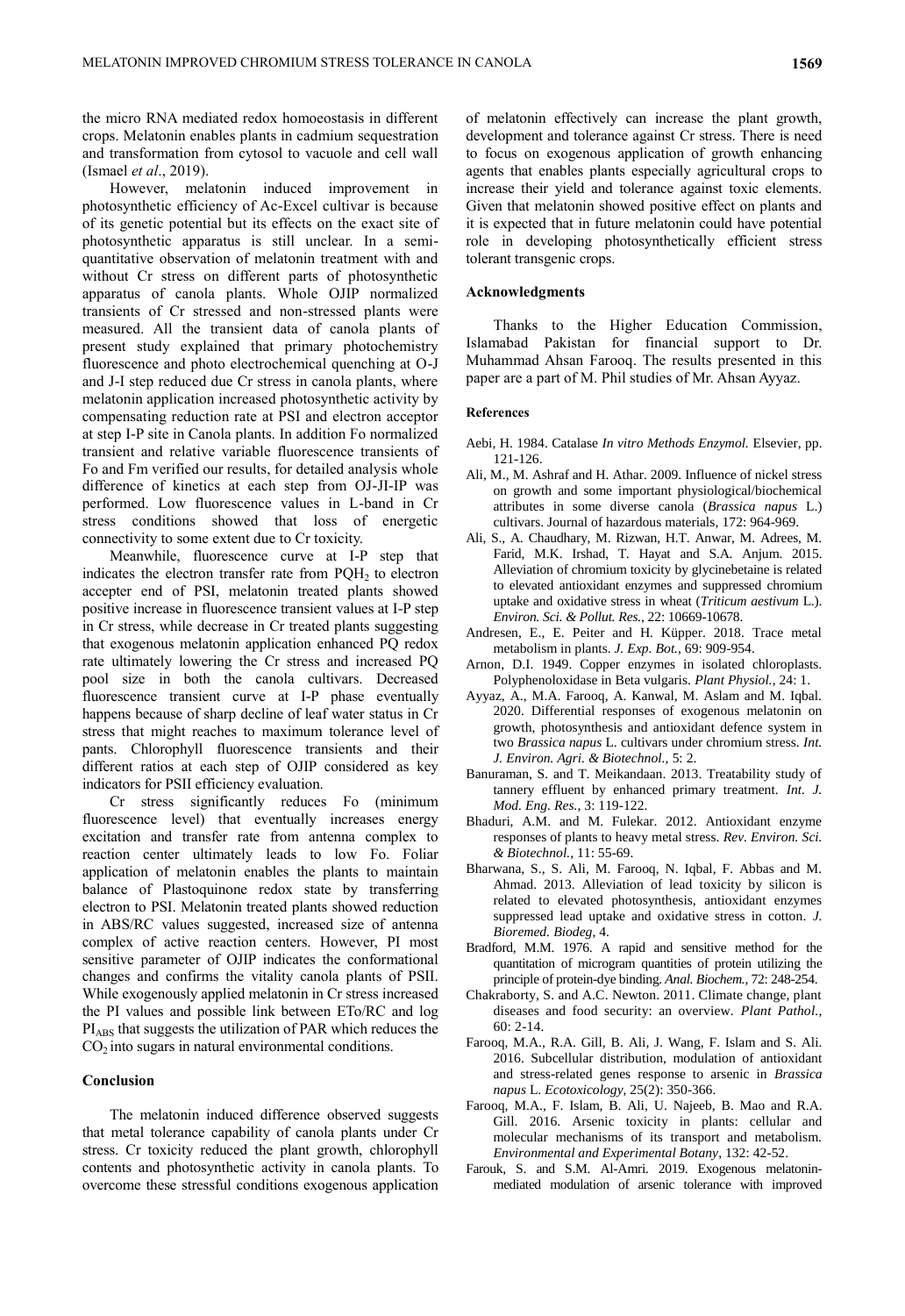the micro RNA mediated redox homoeostasis in different crops. Melatonin enables plants in cadmium sequestration and transformation from cytosol to vacuole and cell wall (Ismael *et al*., 2019).

However, melatonin induced improvement in photosynthetic efficiency of Ac-Excel cultivar is because of its genetic potential but its effects on the exact site of photosynthetic apparatus is still unclear. In a semiquantitative observation of melatonin treatment with and without Cr stress on different parts of photosynthetic apparatus of canola plants. Whole OJIP normalized transients of Cr stressed and non-stressed plants were measured. All the transient data of canola plants of present study explained that primary photochemistry fluorescence and photo electrochemical quenching at O-J and J-I step reduced due Cr stress in canola plants, where melatonin application increased photosynthetic activity by compensating reduction rate at PSI and electron acceptor at step I-P site in Canola plants. In addition Fo normalized transient and relative variable fluorescence transients of Fo and Fm verified our results, for detailed analysis whole difference of kinetics at each step from OJ-JI-IP was performed. Low fluorescence values in L-band in Cr stress conditions showed that loss of energetic connectivity to some extent due to Cr toxicity.

Meanwhile, fluorescence curve at I-P step that indicates the electron transfer rate from  $PQH<sub>2</sub>$  to electron accepter end of PSI, melatonin treated plants showed positive increase in fluorescence transient values at I-P step in Cr stress, while decrease in Cr treated plants suggesting that exogenous melatonin application enhanced PQ redox rate ultimately lowering the Cr stress and increased PQ pool size in both the canola cultivars. Decreased fluorescence transient curve at I-P phase eventually happens because of sharp decline of leaf water status in Cr stress that might reaches to maximum tolerance level of pants. Chlorophyll fluorescence transients and their different ratios at each step of OJIP considered as key indicators for PSII efficiency evaluation.

Cr stress significantly reduces Fo (minimum fluorescence level) that eventually increases energy excitation and transfer rate from antenna complex to reaction center ultimately leads to low Fo. Foliar application of melatonin enables the plants to maintain balance of Plastoquinone redox state by transferring electron to PSI. Melatonin treated plants showed reduction in ABS/RC values suggested, increased size of antenna complex of active reaction centers. However, PI most sensitive parameter of OJIP indicates the conformational changes and confirms the vitality canola plants of PSII. While exogenously applied melatonin in Cr stress increased the PI values and possible link between ETo/RC and log PIABS that suggests the utilization of PAR which reduces the  $CO<sub>2</sub>$  into sugars in natural environmental conditions.

## **Conclusion**

The melatonin induced difference observed suggests that metal tolerance capability of canola plants under Cr stress. Cr toxicity reduced the plant growth, chlorophyll contents and photosynthetic activity in canola plants. To overcome these stressful conditions exogenous application of melatonin effectively can increase the plant growth, development and tolerance against Cr stress. There is need to focus on exogenous application of growth enhancing agents that enables plants especially agricultural crops to increase their yield and tolerance against toxic elements. Given that melatonin showed positive effect on plants and it is expected that in future melatonin could have potential role in developing photosynthetically efficient stress tolerant transgenic crops.

#### **Acknowledgments**

Thanks to the Higher Education Commission, Islamabad Pakistan for financial support to Dr. Muhammad Ahsan Farooq. The results presented in this paper are a part of M. Phil studies of Mr. Ahsan Ayyaz.

#### **References**

- Aebi, H. 1984. Catalase *In vitro Methods Enzymol.* Elsevier, pp. 121-126.
- Ali, M., M. Ashraf and H. Athar. 2009. Influence of nickel stress on growth and some important physiological/biochemical attributes in some diverse canola (*Brassica napus* L.) cultivars. Journal of hazardous materials, 172: 964-969.
- Ali, S., A. Chaudhary, M. Rizwan, H.T. Anwar, M. Adrees, M. Farid, M.K. Irshad, T. Hayat and S.A. Anjum. 2015. Alleviation of chromium toxicity by glycinebetaine is related to elevated antioxidant enzymes and suppressed chromium uptake and oxidative stress in wheat (*Triticum aestivum* L.). *Environ. Sci. & Pollut. Res.*, 22: 10669-10678.
- Andresen, E., E. Peiter and H. Küpper. 2018. Trace metal metabolism in plants. *J. Exp. Bot.*, 69: 909-954.
- Arnon, D.I. 1949. Copper enzymes in isolated chloroplasts. Polyphenoloxidase in Beta vulgaris. *Plant Physiol.*, 24: 1.
- Ayyaz, A., M.A. Farooq, A. Kanwal, M. Aslam and M. Iqbal. 2020. Differential responses of exogenous melatonin on growth, photosynthesis and antioxidant defence system in two *Brassica napus* L. cultivars under chromium stress. *Int. J. Environ. Agri. & Biotechnol.,* 5: 2.
- Banuraman, S. and T. Meikandaan. 2013. Treatability study of tannery effluent by enhanced primary treatment. *Int. J. Mod. Eng. Res.*, 3: 119-122.
- Bhaduri, A.M. and M. Fulekar. 2012. Antioxidant enzyme responses of plants to heavy metal stress. *Rev. Environ. Sci. & Biotechnol.,* 11: 55-69.
- Bharwana, S., S. Ali, M. Farooq, N. Iqbal, F. Abbas and M. Ahmad. 2013. Alleviation of lead toxicity by silicon is related to elevated photosynthesis, antioxidant enzymes suppressed lead uptake and oxidative stress in cotton. *J. Bioremed. Biodeg*, 4.
- Bradford, M.M. 1976. A rapid and sensitive method for the quantitation of microgram quantities of protein utilizing the principle of protein-dye binding. *Anal. Biochem.*, 72: 248-254.
- Chakraborty, S. and A.C. Newton. 2011. Climate change, plant diseases and food security: an overview. *Plant Pathol.*, 60: 2-14.
- Farooq, M.A., R.A. Gill, B. Ali, J. Wang, F. Islam and S. Ali. 2016. Subcellular distribution, modulation of antioxidant and stress-related genes response to arsenic in *Brassica napus* L. *Ecotoxicology*, 25(2): 350-366.
- Farooq, M.A., F. Islam, B. Ali, U. Najeeb, B. Mao and R.A. Gill. 2016. Arsenic toxicity in plants: cellular and molecular mechanisms of its transport and metabolism. *Environmental and Experimental Botany*, 132: 42-52.
- Farouk, S. and S.M. Al-Amri. 2019. Exogenous melatoninmediated modulation of arsenic tolerance with improved